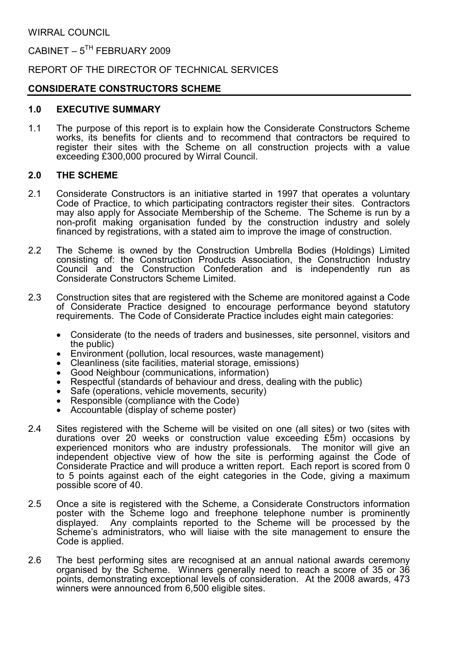CABINET –  $5^{TH}$  FEBRUARY 2009

REPORT OF THE DIRECTOR OF TECHNICAL SERVICES

# CONSIDERATE CONSTRUCTORS SCHEME

## 1.0 EXECUTIVE SUMMARY

1.1 The purpose of this report is to explain how the Considerate Constructors Scheme works, its benefits for clients and to recommend that contractors be required to register their sites with the Scheme on all construction projects with a value exceeding £300,000 procured by Wirral Council.

## 2.0 THE SCHEME

- 2.1 Considerate Constructors is an initiative started in 1997 that operates a voluntary Code of Practice, to which participating contractors register their sites. Contractors may also apply for Associate Membership of the Scheme. The Scheme is run by a non-profit making organisation funded by the construction industry and solely financed by registrations, with a stated aim to improve the image of construction.
- 2.2 The Scheme is owned by the Construction Umbrella Bodies (Holdings) Limited consisting of: the Construction Products Association, the Construction Industry Council and the Construction Confederation and is independently run as Considerate Constructors Scheme Limited.
- 2.3 Construction sites that are registered with the Scheme are monitored against a Code of Considerate Practice designed to encourage performance beyond statutory requirements. The Code of Considerate Practice includes eight main categories:
	- Considerate (to the needs of traders and businesses, site personnel, visitors and the public)
	- Environment (pollution, local resources, waste management)
	- Cleanliness (site facilities, material storage, emissions)
	- Good Neighbour (communications, information)
	- Respectful (standards of behaviour and dress, dealing with the public)
	- Safe (operations, vehicle movements, security)
	- Responsible (compliance with the Code)
	- Accountable (display of scheme poster)
- 2.4 Sites registered with the Scheme will be visited on one (all sites) or two (sites with durations over 20 weeks or construction value exceeding £5m) occasions by experienced monitors who are industry professionals. The monitor will give an independent objective view of how the site is performing against the Code of Considerate Practice and will produce a written report. Each report is scored from 0 to 5 points against each of the eight categories in the Code, giving a maximum possible score of 40.
- 2.5 Once a site is registered with the Scheme, a Considerate Constructors information poster with the Scheme logo and freephone telephone number is prominently displayed. Any complaints reported to the Scheme will be processed by the Scheme's administrators, who will liaise with the site management to ensure the Code is applied.
- 2.6 The best performing sites are recognised at an annual national awards ceremony organised by the Scheme. Winners generally need to reach a score of 35 or 36 points, demonstrating exceptional levels of consideration. At the 2008 awards, 473 winners were announced from 6,500 eligible sites.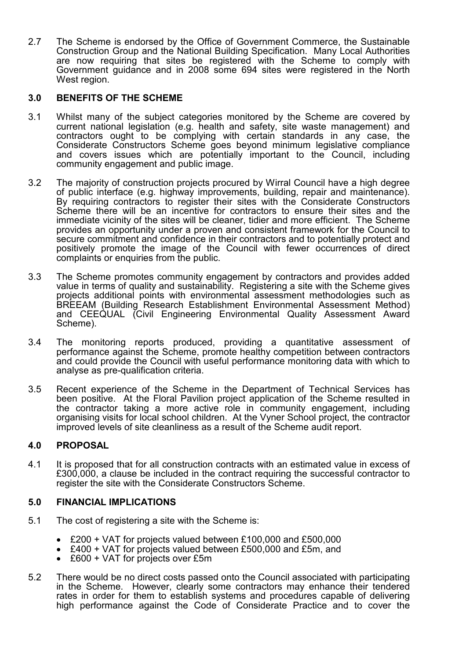2.7 The Scheme is endorsed by the Office of Government Commerce, the Sustainable Construction Group and the National Building Specification. Many Local Authorities are now requiring that sites be registered with the Scheme to comply with Government guidance and in 2008 some 694 sites were registered in the North West region.

## 3.0 BENEFITS OF THE SCHEME

- 3.1 Whilst many of the subject categories monitored by the Scheme are covered by current national legislation (e.g. health and safety, site waste management) and contractors ought to be complying with certain standards in any case, the Considerate Constructors Scheme goes beyond minimum legislative compliance and covers issues which are potentially important to the Council, including community engagement and public image.
- 3.2 The majority of construction projects procured by Wirral Council have a high degree of public interface (e.g. highway improvements, building, repair and maintenance). By requiring contractors to register their sites with the Considerate Constructors Scheme there will be an incentive for contractors to ensure their sites and the immediate vicinity of the sites will be cleaner, tidier and more efficient. The Scheme provides an opportunity under a proven and consistent framework for the Council to secure commitment and confidence in their contractors and to potentially protect and positively promote the image of the Council with fewer occurrences of direct complaints or enquiries from the public.
- 3.3 The Scheme promotes community engagement by contractors and provides added value in terms of quality and sustainability. Registering a site with the Scheme gives projects additional points with environmental assessment methodologies such as BREEAM (Building Research Establishment Environmental Assessment Method) and CEEQUAL (Civil Engineering Environmental Quality Assessment Award Scheme).
- 3.4 The monitoring reports produced, providing a quantitative assessment of performance against the Scheme, promote healthy competition between contractors and could provide the Council with useful performance monitoring data with which to analyse as pre-qualification criteria.
- 3.5 Recent experience of the Scheme in the Department of Technical Services has been positive. At the Floral Pavilion project application of the Scheme resulted in the contractor taking a more active role in community engagement, including organising visits for local school children. At the Vyner School project, the contractor improved levels of site cleanliness as a result of the Scheme audit report.

### 4.0 PROPOSAL

4.1 It is proposed that for all construction contracts with an estimated value in excess of £300,000, a clause be included in the contract requiring the successful contractor to register the site with the Considerate Constructors Scheme.

### 5.0 FINANCIAL IMPLICATIONS

- 5.1 The cost of registering a site with the Scheme is:
	- £200 + VAT for projects valued between £100,000 and £500,000
	- £400 + VAT for projects valued between £500,000 and £5m, and
	- £600 + VAT for projects over £5m
- 5.2 There would be no direct costs passed onto the Council associated with participating in the Scheme. However, clearly some contractors may enhance their tendered rates in order for them to establish systems and procedures capable of delivering high performance against the Code of Considerate Practice and to cover the